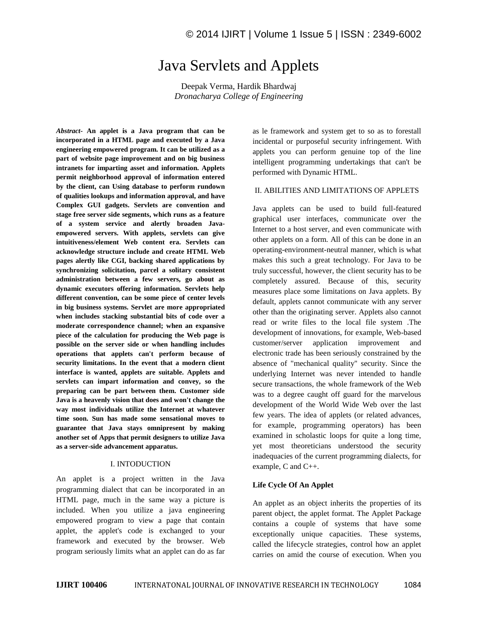# Java Servlets and Applets

Deepak Verma, Hardik Bhardwaj *Dronacharya College of Engineering*

*Abstract-* **An applet is a Java program that can be incorporated in a HTML page and executed by a Java engineering empowered program. It can be utilized as a part of website page improvement and on big business intranets for imparting asset and information. Applets permit neighborhood approval of information entered by the client, can Using database to perform rundown of qualities lookups and information approval, and have Complex GUI gadgets. Servlets are convention and stage free server side segments, which runs as a feature of a system service and alertly broaden Javaempowered servers. With applets, servlets can give intuitiveness/element Web content era. Servlets can acknowledge structure include and create HTML Web pages alertly like CGI, backing shared applications by synchronizing solicitation, parcel a solitary consistent administration between a few servers, go about as dynamic executors offering information. Servlets help different convention, can be some piece of center levels in big business systems. Servlet are more appropriated when includes stacking substantial bits of code over a moderate correspondence channel; when an expansive piece of the calculation for producing the Web page is possible on the server side or when handling includes operations that applets can't perform because of security limitations. In the event that a modern client interface is wanted, applets are suitable. Applets and servlets can impart information and convey, so the preparing can be part between them. Customer side Java is a heavenly vision that does and won't change the way most individuals utilize the Internet at whatever time soon. Sun has made some sensational moves to guarantee that Java stays omnipresent by making another set of Apps that permit designers to utilize Java as a server-side advancement apparatus.**

### I. INTODUCTION

An applet is a project written in the Java programming dialect that can be incorporated in an HTML page, much in the same way a picture is included. When you utilize a java engineering empowered program to view a page that contain applet, the applet's code is exchanged to your framework and executed by the browser. Web program seriously limits what an applet can do as far

as le framework and system get to so as to forestall incidental or purposeful security infringement. With applets you can perform genuine top of the line intelligent programming undertakings that can't be performed with Dynamic HTML.

#### II. ABILITIES AND LIMITATIONS OF APPLETS

Java applets can be used to build full-featured graphical user interfaces, communicate over the Internet to a host server, and even communicate with other applets on a form. All of this can be done in an operating-environment-neutral manner, which is what makes this such a great technology. For Java to be truly successful, however, the client security has to be completely assured. Because of this, security measures place some limitations on Java applets. By default, applets cannot communicate with any server other than the originating server. Applets also cannot read or write files to the local file system .The development of innovations, for example, Web-based customer/server application improvement and electronic trade has been seriously constrained by the absence of "mechanical quality" security. Since the underlying Internet was never intended to handle secure transactions, the whole framework of the Web was to a degree caught off guard for the marvelous development of the World Wide Web over the last few years. The idea of applets (or related advances, for example, programming operators) has been examined in scholastic loops for quite a long time, yet most theoreticians understood the security inadequacies of the current programming dialects, for example, C and C++.

## **Life Cycle Of An Applet**

An applet as an object inherits the properties of its parent object, the applet format. The Applet Package contains a couple of systems that have some exceptionally unique capacities. These systems, called the lifecycle strategies, control how an applet carries on amid the course of execution. When you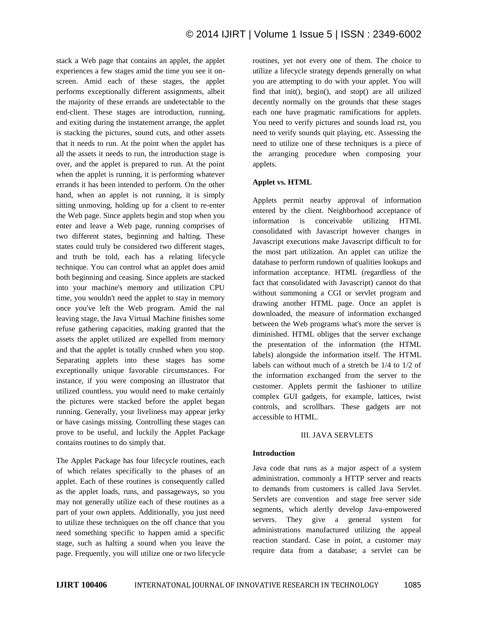stack a Web page that contains an applet, the applet experiences a few stages amid the time you see it onscreen. Amid each of these stages, the applet performs exceptionally different assignments, albeit the majority of these errands are undetectable to the end-client. These stages are introduction, running, and exiting during the instatement arrange, the applet is stacking the pictures, sound cuts, and other assets that it needs to run. At the point when the applet has all the assets it needs to run, the introduction stage is over, and the applet is prepared to run. At the point when the applet is running, it is performing whatever errands it has been intended to perform. On the other hand, when an applet is not running, it is simply sitting unmoving, holding up for a client to re-enter the Web page. Since applets begin and stop when you enter and leave a Web page, running comprises of two different states, beginning and halting. These states could truly be considered two different stages, and truth be told, each has a relating lifecycle technique. You can control what an applet does amid both beginning and ceasing. Since applets are stacked into your machine's memory and utilization CPU time, you wouldn't need the applet to stay in memory once you've left the Web program. Amid the nal leaving stage, the Java Virtual Machine finishes some refuse gathering capacities, making granted that the assets the applet utilized are expelled from memory and that the applet is totally crushed when you stop. Separating applets into these stages has some exceptionally unique favorable circumstances. For instance, if you were composing an illustrator that utilized countless, you would need to make certainly the pictures were stacked before the applet began running. Generally, your liveliness may appear jerky or have casings missing. Controlling these stages can prove to be useful, and luckily the Applet Package contains routines to do simply that.

The Applet Package has four lifecycle routines, each of which relates specifically to the phases of an applet. Each of these routines is consequently called as the applet loads, runs, and passageways, so you may not generally utilize each of these routines as a part of your own applets. Additionally, you just need to utilize these techniques on the off chance that you need something specific to happen amid a specific stage, such as halting a sound when you leave the page. Frequently, you will utilize one or two lifecycle

routines, yet not every one of them. The choice to utilize a lifecycle strategy depends generally on what you are attempting to do with your applet. You will find that init(), begin(), and stop() are all utilized decently normally on the grounds that these stages each one have pragmatic ramifications for applets. You need to verify pictures and sounds load rst, you need to verify sounds quit playing, etc. Assessing the need to utilize one of these techniques is a piece of the arranging procedure when composing your applets.

## **Applet vs. HTML**

Applets permit nearby approval of information entered by the client. Neighborhood acceptance of information is conceivable utilizing HTML consolidated with Javascript however changes in Javascript executions make Javascript difficult to for the most part utilization. An applet can utilize the database to perform rundown of qualities lookups and information acceptance. HTML (regardless of the fact that consolidated with Javascript) cannot do that without summoning a CGI or servlet program and drawing another HTML page. Once an applet is downloaded, the measure of information exchanged between the Web programs what's more the server is diminished. HTML obliges that the server exchange the presentation of the information (the HTML labels) alongside the information itself. The HTML labels can without much of a stretch be 1/4 to 1/2 of the information exchanged from the server to the customer. Applets permit the fashioner to utilize complex GUI gadgets, for example, lattices, twist controls, and scrollbars. These gadgets are not accessible to HTML.

#### III. JAVA SERVLETS

#### **Introduction**

Java code that runs as a major aspect of a system administration, commonly a HTTP server and reacts to demands from customers is called Java Servlet. Servlets are convention and stage free server side segments, which alertly develop Java-empowered servers. They give a general system for administrations manufactured utilizing the appeal reaction standard. Case in point, a customer may require data from a database; a servlet can be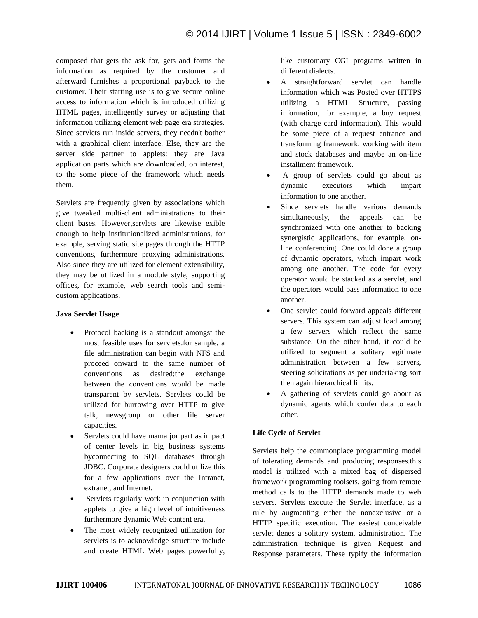composed that gets the ask for, gets and forms the information as required by the customer and afterward furnishes a proportional payback to the customer. Their starting use is to give secure online access to information which is introduced utilizing HTML pages, intelligently survey or adjusting that information utilizing element web page era strategies. Since servlets run inside servers, they needn't bother with a graphical client interface. Else, they are the server side partner to applets: they are Java application parts which are downloaded, on interest, to the some piece of the framework which needs them.

Servlets are frequently given by associations which give tweaked multi-client administrations to their client bases. However,servlets are likewise exible enough to help institutionalized administrations, for example, serving static site pages through the HTTP conventions, furthermore proxying administrations. Also since they are utilized for element extensibility, they may be utilized in a module style, supporting offices, for example, web search tools and semicustom applications.

## **Java Servlet Usage**

- Protocol backing is a standout amongst the most feasible uses for servlets.for sample, a file administration can begin with NFS and proceed onward to the same number of conventions as desired;the exchange between the conventions would be made transparent by servlets. Servlets could be utilized for burrowing over HTTP to give talk, newsgroup or other file server capacities.
- Servlets could have mama jor part as impact of center levels in big business systems byconnecting to SQL databases through JDBC. Corporate designers could utilize this for a few applications over the Intranet, extranet, and Internet.
- Servlets regularly work in conjunction with applets to give a high level of intuitiveness furthermore dynamic Web content era.
- The most widely recognized utilization for servlets is to acknowledge structure include and create HTML Web pages powerfully,

like customary CGI programs written in different dialects.

- A straightforward servlet can handle information which was Posted over HTTPS utilizing a HTML Structure, passing information, for example, a buy request (with charge card information). This would be some piece of a request entrance and transforming framework, working with item and stock databases and maybe an on-line installment framework.
- A group of servlets could go about as dynamic executors which impart information to one another.
- Since servlets handle various demands simultaneously, the appeals can be synchronized with one another to backing synergistic applications, for example, online conferencing. One could done a group of dynamic operators, which impart work among one another. The code for every operator would be stacked as a servlet, and the operators would pass information to one another.
- One servlet could forward appeals different servers. This system can adjust load among a few servers which reflect the same substance. On the other hand, it could be utilized to segment a solitary legitimate administration between a few servers, steering solicitations as per undertaking sort then again hierarchical limits.
- A gathering of servlets could go about as dynamic agents which confer data to each other.

# **Life Cycle of Servlet**

Servlets help the commonplace programming model of tolerating demands and producing responses.this model is utilized with a mixed bag of dispersed framework programming toolsets, going from remote method calls to the HTTP demands made to web servers. Servlets execute the Servlet interface, as a rule by augmenting either the nonexclusive or a HTTP specific execution. The easiest conceivable servlet denes a solitary system, administration. The administration technique is given Request and Response parameters. These typify the information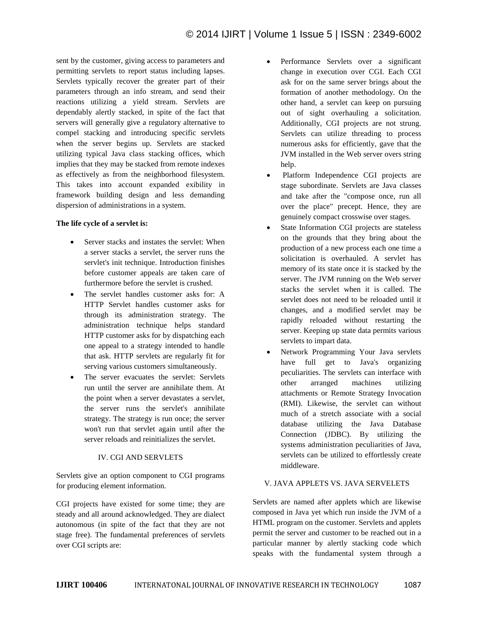sent by the customer, giving access to parameters and permitting servlets to report status including lapses. Servlets typically recover the greater part of their parameters through an info stream, and send their reactions utilizing a yield stream. Servlets are dependably alertly stacked, in spite of the fact that servers will generally give a regulatory alternative to compel stacking and introducing specific servlets when the server begins up. Servlets are stacked utilizing typical Java class stacking offices, which implies that they may be stacked from remote indexes as effectively as from the neighborhood filesystem. This takes into account expanded exibility in framework building design and less demanding dispersion of administrations in a system.

## **The life cycle of a servlet is:**

- Server stacks and instates the servlet: When a server stacks a servlet, the server runs the servlet's init technique. Introduction finishes before customer appeals are taken care of furthermore before the servlet is crushed.
- The servlet handles customer asks for: A HTTP Servlet handles customer asks for through its administration strategy. The administration technique helps standard HTTP customer asks for by dispatching each one appeal to a strategy intended to handle that ask. HTTP servlets are regularly fit for serving various customers simultaneously.
- The server evacuates the servlet: Servlets run until the server are annihilate them. At the point when a server devastates a servlet, the server runs the servlet's annihilate strategy. The strategy is run once; the server won't run that servlet again until after the server reloads and reinitializes the servlet.

# IV. CGI AND SERVLETS

Servlets give an option component to CGI programs for producing element information.

CGI projects have existed for some time; they are steady and all around acknowledged. They are dialect autonomous (in spite of the fact that they are not stage free). The fundamental preferences of servlets over CGI scripts are:

- Performance Servlets over a significant change in execution over CGI. Each CGI ask for on the same server brings about the formation of another methodology. On the other hand, a servlet can keep on pursuing out of sight overhauling a solicitation. Additionally, CGI projects are not strung. Servlets can utilize threading to process numerous asks for efficiently, gave that the JVM installed in the Web server overs string help.
- Platform Independence CGI projects are stage subordinate. Servlets are Java classes and take after the "compose once, run all over the place" precept. Hence, they are genuinely compact crosswise over stages.
- State Information CGI projects are stateless on the grounds that they bring about the production of a new process each one time a solicitation is overhauled. A servlet has memory of its state once it is stacked by the server. The JVM running on the Web server stacks the servlet when it is called. The servlet does not need to be reloaded until it changes, and a modified servlet may be rapidly reloaded without restarting the server. Keeping up state data permits various servlets to impart data.
- Network Programming Your Java servlets have full get to Java's organizing peculiarities. The servlets can interface with other arranged machines utilizing attachments or Remote Strategy Invocation (RMI). Likewise, the servlet can without much of a stretch associate with a social database utilizing the Java Database Connection (JDBC). By utilizing the systems administration peculiarities of Java, servlets can be utilized to effortlessly create middleware.

## V. JAVA APPLETS VS. JAVA SERVELETS

Servlets are named after applets which are likewise composed in Java yet which run inside the JVM of a HTML program on the customer. Servlets and applets permit the server and customer to be reached out in a particular manner by alertly stacking code which speaks with the fundamental system through a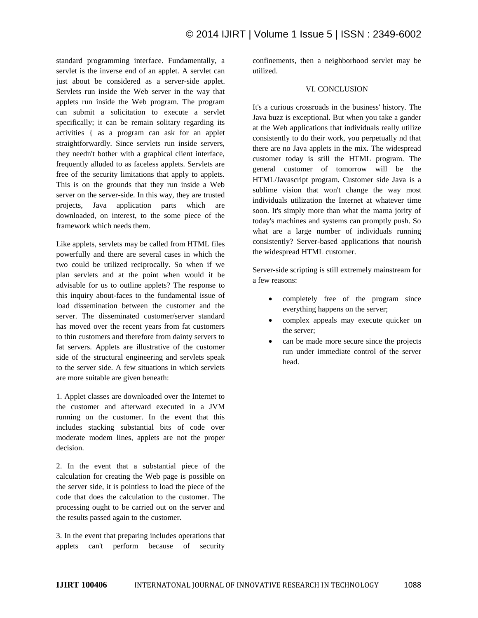standard programming interface. Fundamentally, a servlet is the inverse end of an applet. A servlet can just about be considered as a server-side applet. Servlets run inside the Web server in the way that applets run inside the Web program. The program can submit a solicitation to execute a servlet specifically; it can be remain solitary regarding its activities { as a program can ask for an applet straightforwardly. Since servlets run inside servers, they needn't bother with a graphical client interface, frequently alluded to as faceless applets. Servlets are free of the security limitations that apply to applets. This is on the grounds that they run inside a Web server on the server-side. In this way, they are trusted projects, Java application parts which are downloaded, on interest, to the some piece of the framework which needs them.

Like applets, servlets may be called from HTML files powerfully and there are several cases in which the two could be utilized reciprocally. So when if we plan servlets and at the point when would it be advisable for us to outline applets? The response to this inquiry about-faces to the fundamental issue of load dissemination between the customer and the server. The disseminated customer/server standard has moved over the recent years from fat customers to thin customers and therefore from dainty servers to fat servers. Applets are illustrative of the customer side of the structural engineering and servlets speak to the server side. A few situations in which servlets are more suitable are given beneath:

1. Applet classes are downloaded over the Internet to the customer and afterward executed in a JVM running on the customer. In the event that this includes stacking substantial bits of code over moderate modem lines, applets are not the proper decision.

2. In the event that a substantial piece of the calculation for creating the Web page is possible on the server side, it is pointless to load the piece of the code that does the calculation to the customer. The processing ought to be carried out on the server and the results passed again to the customer.

3. In the event that preparing includes operations that applets can't perform because of security

confinements, then a neighborhood servlet may be utilized.

#### VI. CONCLUSION

It's a curious crossroads in the business' history. The Java buzz is exceptional. But when you take a gander at the Web applications that individuals really utilize consistently to do their work, you perpetually nd that there are no Java applets in the mix. The widespread customer today is still the HTML program. The general customer of tomorrow will be the HTML/Javascript program. Customer side Java is a sublime vision that won't change the way most individuals utilization the Internet at whatever time soon. It's simply more than what the mama jority of today's machines and systems can promptly push. So what are a large number of individuals running consistently? Server-based applications that nourish the widespread HTML customer.

Server-side scripting is still extremely mainstream for a few reasons:

- completely free of the program since everything happens on the server;
- complex appeals may execute quicker on the server;
- can be made more secure since the projects run under immediate control of the server head.